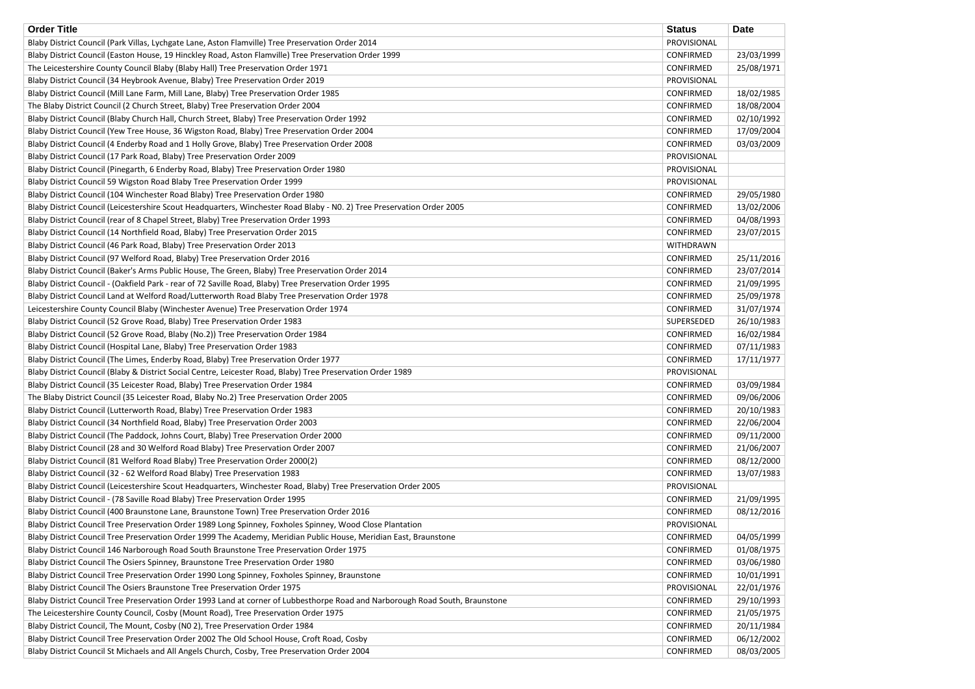| <b>Order Title</b>                                                                                                            | <b>Status</b>    | <b>Date</b> |
|-------------------------------------------------------------------------------------------------------------------------------|------------------|-------------|
| Blaby District Council (Park Villas, Lychgate Lane, Aston Flamville) Tree Preservation Order 2014                             | PROVISIONAL      |             |
| Blaby District Council (Easton House, 19 Hinckley Road, Aston Flamville) Tree Preservation Order 1999                         | CONFIRMED        | 23/03/1999  |
| The Leicestershire County Council Blaby (Blaby Hall) Tree Preservation Order 1971                                             | CONFIRMED        | 25/08/1971  |
| Blaby District Council (34 Heybrook Avenue, Blaby) Tree Preservation Order 2019                                               | PROVISIONAL      |             |
| Blaby District Council (Mill Lane Farm, Mill Lane, Blaby) Tree Preservation Order 1985                                        | CONFIRMED        | 18/02/1985  |
| The Blaby District Council (2 Church Street, Blaby) Tree Preservation Order 2004                                              | CONFIRMED        | 18/08/2004  |
| Blaby District Council (Blaby Church Hall, Church Street, Blaby) Tree Preservation Order 1992                                 | CONFIRMED        | 02/10/1992  |
| Blaby District Council (Yew Tree House, 36 Wigston Road, Blaby) Tree Preservation Order 2004                                  | CONFIRMED        | 17/09/2004  |
| Blaby District Council (4 Enderby Road and 1 Holly Grove, Blaby) Tree Preservation Order 2008                                 | CONFIRMED        | 03/03/2009  |
| Blaby District Council (17 Park Road, Blaby) Tree Preservation Order 2009                                                     | PROVISIONAL      |             |
| Blaby District Council (Pinegarth, 6 Enderby Road, Blaby) Tree Preservation Order 1980                                        | PROVISIONAL      |             |
| Blaby District Council 59 Wigston Road Blaby Tree Preservation Order 1999                                                     | PROVISIONAL      |             |
| Blaby District Council (104 Winchester Road Blaby) Tree Preservation Order 1980                                               | CONFIRMED        | 29/05/1980  |
| Blaby District Council (Leicestershire Scout Headquarters, Winchester Road Blaby - NO. 2) Tree Preservation Order 2005        | CONFIRMED        | 13/02/2006  |
| Blaby District Council (rear of 8 Chapel Street, Blaby) Tree Preservation Order 1993                                          | <b>CONFIRMED</b> | 04/08/1993  |
| Blaby District Council (14 Northfield Road, Blaby) Tree Preservation Order 2015                                               | CONFIRMED        | 23/07/2015  |
| Blaby District Council (46 Park Road, Blaby) Tree Preservation Order 2013                                                     | <b>WITHDRAWN</b> |             |
| Blaby District Council (97 Welford Road, Blaby) Tree Preservation Order 2016                                                  | CONFIRMED        | 25/11/2016  |
| Blaby District Council (Baker's Arms Public House, The Green, Blaby) Tree Preservation Order 2014                             | CONFIRMED        | 23/07/2014  |
| Blaby District Council - (Oakfield Park - rear of 72 Saville Road, Blaby) Tree Preservation Order 1995                        | <b>CONFIRMED</b> | 21/09/1995  |
| Blaby District Council Land at Welford Road/Lutterworth Road Blaby Tree Preservation Order 1978                               | CONFIRMED        | 25/09/1978  |
| Leicestershire County Council Blaby (Winchester Avenue) Tree Preservation Order 1974                                          | <b>CONFIRMED</b> | 31/07/1974  |
| Blaby District Council (52 Grove Road, Blaby) Tree Preservation Order 1983                                                    | SUPERSEDED       | 26/10/1983  |
| Blaby District Council (52 Grove Road, Blaby (No.2)) Tree Preservation Order 1984                                             | CONFIRMED        | 16/02/1984  |
| Blaby District Council (Hospital Lane, Blaby) Tree Preservation Order 1983                                                    | CONFIRMED        | 07/11/1983  |
| Blaby District Council (The Limes, Enderby Road, Blaby) Tree Preservation Order 1977                                          | CONFIRMED        | 17/11/1977  |
| Blaby District Council (Blaby & District Social Centre, Leicester Road, Blaby) Tree Preservation Order 1989                   | PROVISIONAL      |             |
| Blaby District Council (35 Leicester Road, Blaby) Tree Preservation Order 1984                                                | CONFIRMED        | 03/09/1984  |
| The Blaby District Council (35 Leicester Road, Blaby No.2) Tree Preservation Order 2005                                       | CONFIRMED        | 09/06/2006  |
| Blaby District Council (Lutterworth Road, Blaby) Tree Preservation Order 1983                                                 | <b>CONFIRMED</b> | 20/10/1983  |
| Blaby District Council (34 Northfield Road, Blaby) Tree Preservation Order 2003                                               | CONFIRMED        | 22/06/2004  |
| Blaby District Council (The Paddock, Johns Court, Blaby) Tree Preservation Order 2000                                         | CONFIRMED        | 09/11/2000  |
| Blaby District Council (28 and 30 Welford Road Blaby) Tree Preservation Order 2007                                            | CONFIRMED        | 21/06/2007  |
| Blaby District Council (81 Welford Road Blaby) Tree Preservation Order 2000(2)                                                | <b>CONFIRMED</b> | 08/12/2000  |
| Blaby District Council (32 - 62 Welford Road Blaby) Tree Preservation 1983                                                    | CONFIRMED        | 13/07/1983  |
| Blaby District Council (Leicestershire Scout Headquarters, Winchester Road, Blaby) Tree Preservation Order 2005               | PROVISIONAL      |             |
| Blaby District Council - (78 Saville Road Blaby) Tree Preservation Order 1995                                                 | CONFIRMED        | 21/09/1995  |
| Blaby District Council (400 Braunstone Lane, Braunstone Town) Tree Preservation Order 2016                                    | CONFIRMED        | 08/12/2016  |
| Blaby District Council Tree Preservation Order 1989 Long Spinney, Foxholes Spinney, Wood Close Plantation                     | PROVISIONAL      |             |
| Blaby District Council Tree Preservation Order 1999 The Academy, Meridian Public House, Meridian East, Braunstone             | CONFIRMED        | 04/05/1999  |
| Blaby District Council 146 Narborough Road South Braunstone Tree Preservation Order 1975                                      | <b>CONFIRMED</b> | 01/08/1975  |
| Blaby District Council The Osiers Spinney, Braunstone Tree Preservation Order 1980                                            | <b>CONFIRMED</b> | 03/06/1980  |
| Blaby District Council Tree Preservation Order 1990 Long Spinney, Foxholes Spinney, Braunstone                                | CONFIRMED        | 10/01/1991  |
| Blaby District Council The Osiers Braunstone Tree Preservation Order 1975                                                     | PROVISIONAL      | 22/01/1976  |
| Blaby District Council Tree Preservation Order 1993 Land at corner of Lubbesthorpe Road and Narborough Road South, Braunstone | <b>CONFIRMED</b> | 29/10/1993  |
| The Leicestershire County Council, Cosby (Mount Road), Tree Preservation Order 1975                                           | <b>CONFIRMED</b> | 21/05/1975  |
| Blaby District Council, The Mount, Cosby (N0 2), Tree Preservation Order 1984                                                 | <b>CONFIRMED</b> | 20/11/1984  |
| Blaby District Council Tree Preservation Order 2002 The Old School House, Croft Road, Cosby                                   | <b>CONFIRMED</b> | 06/12/2002  |
| Blaby District Council St Michaels and All Angels Church, Cosby, Tree Preservation Order 2004                                 | <b>CONFIRMED</b> | 08/03/2005  |

| <b>)ate</b>               |
|---------------------------|
|                           |
| 23/03/1999                |
| 25/08/1971                |
|                           |
| 18/02/1985                |
| 18/08/2004                |
| 02/10/1992                |
| 17/09/2004                |
| 03/03/2009                |
|                           |
|                           |
|                           |
| 29/05/1980                |
| 13/02/2006                |
| 04/08/1993                |
| 23/07/2015                |
|                           |
| 25/11/2016                |
| 23/07/2014                |
| 21/09/1995                |
| 25/09/1978                |
| 31/07/1974                |
| 26/10/1983                |
| 16/02/1984                |
| 07/11/1983                |
| 17/11/1977                |
|                           |
| 03/09/1984                |
| 09/06/2006                |
| 20/10/1983                |
| 22/06/2004                |
| 09/11/2000                |
| 21/06/2007                |
| 08/12/2000                |
| 13/07/1983                |
|                           |
| 21/09/1995                |
| 08/12/2016                |
|                           |
| 04/05/1999                |
| 01/08/1975                |
| 03/06/1980                |
| 10/01/1991                |
| 22/01/1976                |
|                           |
| 29/10/1993                |
| 21/05/1975                |
| 20/11/1984                |
| 06/12/2002<br>אמר/ כח/ סח |
|                           |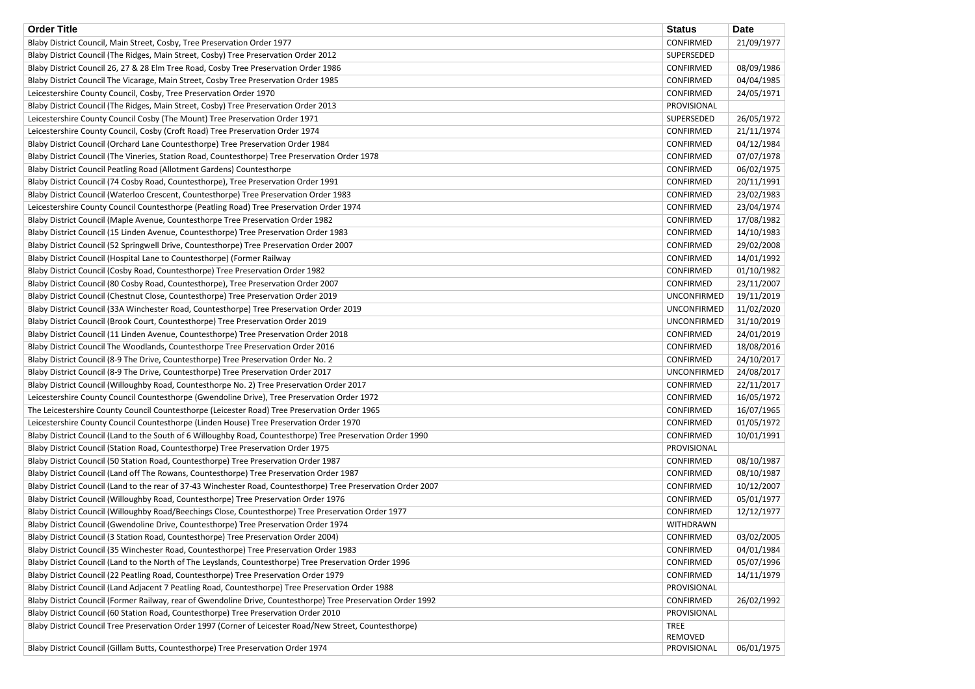| <b>Order Title</b>                                                                                             | <b>Status</b>          | <b>Date</b> |
|----------------------------------------------------------------------------------------------------------------|------------------------|-------------|
| Blaby District Council, Main Street, Cosby, Tree Preservation Order 1977                                       | <b>CONFIRMED</b>       | 21/09/1977  |
| Blaby District Council (The Ridges, Main Street, Cosby) Tree Preservation Order 2012                           | SUPERSEDED             |             |
| Blaby District Council 26, 27 & 28 Elm Tree Road, Cosby Tree Preservation Order 1986                           | CONFIRMED              | 08/09/1986  |
| Blaby District Council The Vicarage, Main Street, Cosby Tree Preservation Order 1985                           | CONFIRMED              | 04/04/1985  |
| Leicestershire County Council, Cosby, Tree Preservation Order 1970                                             | <b>CONFIRMED</b>       | 24/05/1971  |
| Blaby District Council (The Ridges, Main Street, Cosby) Tree Preservation Order 2013                           | PROVISIONAL            |             |
| Leicestershire County Council Cosby (The Mount) Tree Preservation Order 1971                                   | SUPERSEDED             | 26/05/1972  |
| Leicestershire County Council, Cosby (Croft Road) Tree Preservation Order 1974                                 | <b>CONFIRMED</b>       | 21/11/1974  |
| Blaby District Council (Orchard Lane Countesthorpe) Tree Preservation Order 1984                               | <b>CONFIRMED</b>       | 04/12/1984  |
| Blaby District Council (The Vineries, Station Road, Countesthorpe) Tree Preservation Order 1978                | <b>CONFIRMED</b>       | 07/07/1978  |
| Blaby District Council Peatling Road (Allotment Gardens) Countesthorpe                                         | CONFIRMED              | 06/02/1975  |
| Blaby District Council (74 Cosby Road, Countesthorpe), Tree Preservation Order 1991                            | <b>CONFIRMED</b>       | 20/11/1991  |
| Blaby District Council (Waterloo Crescent, Countesthorpe) Tree Preservation Order 1983                         | CONFIRMED              | 23/02/1983  |
| Leicestershire County Council Countesthorpe (Peatling Road) Tree Preservation Order 1974                       | <b>CONFIRMED</b>       | 23/04/1974  |
| Blaby District Council (Maple Avenue, Countesthorpe Tree Preservation Order 1982                               | <b>CONFIRMED</b>       | 17/08/1982  |
| Blaby District Council (15 Linden Avenue, Countesthorpe) Tree Preservation Order 1983                          | CONFIRMED              | 14/10/1983  |
| Blaby District Council (52 Springwell Drive, Countesthorpe) Tree Preservation Order 2007                       | CONFIRMED              | 29/02/2008  |
| Blaby District Council (Hospital Lane to Countesthorpe) (Former Railway                                        | CONFIRMED              | 14/01/1992  |
| Blaby District Council (Cosby Road, Countesthorpe) Tree Preservation Order 1982                                | <b>CONFIRMED</b>       | 01/10/1982  |
| Blaby District Council (80 Cosby Road, Countesthorpe), Tree Preservation Order 2007                            | CONFIRMED              | 23/11/2007  |
| Blaby District Council (Chestnut Close, Countesthorpe) Tree Preservation Order 2019                            | <b>UNCONFIRMED</b>     | 19/11/2019  |
| Blaby District Council (33A Winchester Road, Countesthorpe) Tree Preservation Order 2019                       | <b>UNCONFIRMED</b>     | 11/02/2020  |
| Blaby District Council (Brook Court, Countesthorpe) Tree Preservation Order 2019                               | <b>UNCONFIRMED</b>     | 31/10/2019  |
| Blaby District Council (11 Linden Avenue, Countesthorpe) Tree Preservation Order 2018                          | CONFIRMED              | 24/01/2019  |
| Blaby District Council The Woodlands, Countesthorpe Tree Preservation Order 2016                               | <b>CONFIRMED</b>       | 18/08/2016  |
| Blaby District Council (8-9 The Drive, Countesthorpe) Tree Preservation Order No. 2                            | CONFIRMED              | 24/10/2017  |
| Blaby District Council (8-9 The Drive, Countesthorpe) Tree Preservation Order 2017                             | <b>UNCONFIRMED</b>     | 24/08/2017  |
| Blaby District Council (Willoughby Road, Countesthorpe No. 2) Tree Preservation Order 2017                     | <b>CONFIRMED</b>       | 22/11/2017  |
| Leicestershire County Council Countesthorpe (Gwendoline Drive), Tree Preservation Order 1972                   | CONFIRMED              | 16/05/1972  |
| The Leicestershire County Council Countesthorpe (Leicester Road) Tree Preservation Order 1965                  | CONFIRMED              | 16/07/1965  |
| Leicestershire County Council Countesthorpe (Linden House) Tree Preservation Order 1970                        | <b>CONFIRMED</b>       | 01/05/1972  |
| Blaby District Council (Land to the South of 6 Willoughby Road, Countesthorpe) Tree Preservation Order 1990    | CONFIRMED              | 10/01/1991  |
| Blaby District Council (Station Road, Countesthorpe) Tree Preservation Order 1975                              | PROVISIONAL            |             |
| Blaby District Council (50 Station Road, Countesthorpe) Tree Preservation Order 1987                           | CONFIRMED              | 08/10/1987  |
| Blaby District Council (Land off The Rowans, Countesthorpe) Tree Preservation Order 1987                       | CONFIRMED              | 08/10/1987  |
| Blaby District Council (Land to the rear of 37-43 Winchester Road, Countesthorpe) Tree Preservation Order 2007 | CONFIRMED              | 10/12/2007  |
| Blaby District Council (Willoughby Road, Countesthorpe) Tree Preservation Order 1976                           | <b>CONFIRMED</b>       | 05/01/1977  |
| Blaby District Council (Willoughby Road/Beechings Close, Countesthorpe) Tree Preservation Order 1977           | <b>CONFIRMED</b>       | 12/12/1977  |
| Blaby District Council (Gwendoline Drive, Countesthorpe) Tree Preservation Order 1974                          | <b>WITHDRAWN</b>       |             |
|                                                                                                                | CONFIRMED              |             |
| Blaby District Council (3 Station Road, Countesthorpe) Tree Preservation Order 2004)                           |                        | 03/02/2005  |
| Blaby District Council (35 Winchester Road, Countesthorpe) Tree Preservation Order 1983                        | <b>CONFIRMED</b>       | 04/01/1984  |
| Blaby District Council (Land to the North of The Leyslands, Countesthorpe) Tree Preservation Order 1996        | CONFIRMED              | 05/07/1996  |
| Blaby District Council (22 Peatling Road, Countesthorpe) Tree Preservation Order 1979                          | CONFIRMED              | 14/11/1979  |
| Blaby District Council (Land Adjacent 7 Peatling Road, Countesthorpe) Tree Preservation Order 1988             | PROVISIONAL            |             |
| Blaby District Council (Former Railway, rear of Gwendoline Drive, Countesthorpe) Tree Preservation Order 1992  | CONFIRMED              | 26/02/1992  |
| Blaby District Council (60 Station Road, Countesthorpe) Tree Preservation Order 2010                           | PROVISIONAL            |             |
| Blaby District Council Tree Preservation Order 1997 (Corner of Leicester Road/New Street, Countesthorpe)       | <b>TREE</b><br>REMOVED |             |
| Blaby District Council (Gillam Butts, Countesthorpe) Tree Preservation Order 1974                              | PROVISIONAL            | 06/01/1975  |
|                                                                                                                |                        |             |

| <b>Date</b> |
|-------------|
| 21/09/1977  |
|             |
|             |
| 08/09/1986  |
| 04/04/1985  |
| 24/05/1971  |
|             |
| 26/05/1972  |
| 21/11/1974  |
| 04/12/1984  |
|             |
| 07/07/1978  |
| 06/02/1975  |
| 20/11/1991  |
| 23/02/1983  |
| 23/04/1974  |
| 17/08/1982  |
| 14/10/1983  |
| 29/02/2008  |
| 14/01/1992  |
| 01/10/1982  |
| 23/11/2007  |
| 19/11/2019  |
|             |
| 11/02/2020  |
| 31/10/2019  |
| 24/01/2019  |
| 18/08/2016  |
| 24/10/2017  |
| 24/08/2017  |
| 22/11/2017  |
| 16/05/1972  |
| 16/07/1965  |
| 01/05/1972  |
| 10/01/1991  |
|             |
| 08/10/1987  |
|             |
| 08/10/1987  |
| 10/12/2007  |
| 05/01/1977  |
| 12/12/1977  |
|             |
| 03/02/2005  |
| 04/01/1984  |
| 05/07/1996  |
| 14/11/1979  |
|             |
| 26/02/1992  |
|             |
|             |
|             |
| 06/01/1975  |
|             |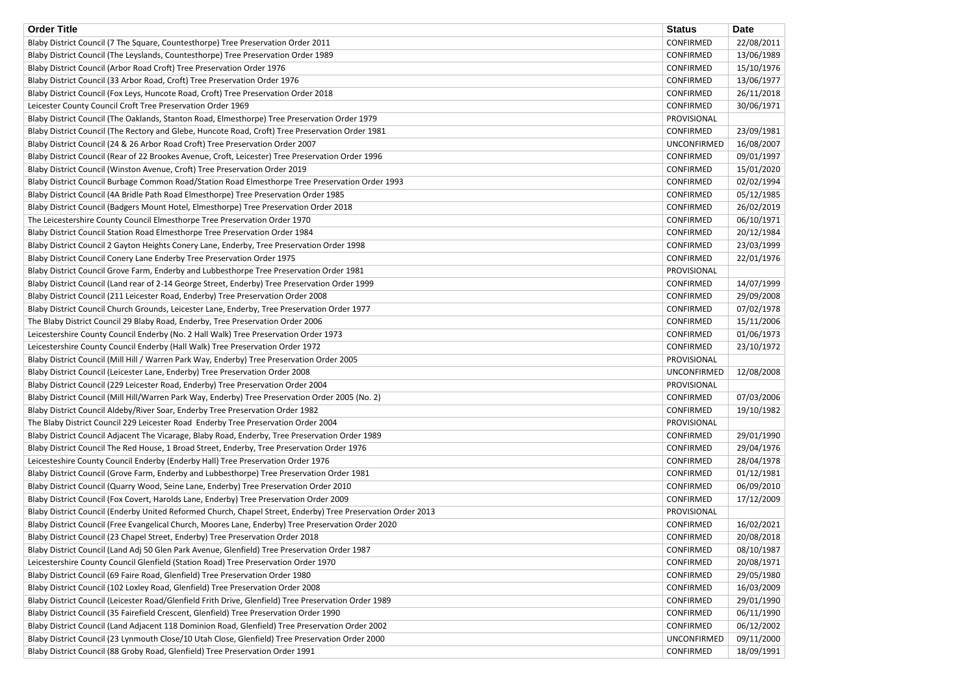| <b>Order Title</b>                                                                                           | <b>Status</b>      | <b>Date</b> |
|--------------------------------------------------------------------------------------------------------------|--------------------|-------------|
| Blaby District Council (7 The Square, Countesthorpe) Tree Preservation Order 2011                            | CONFIRMED          | 22/08/2011  |
| Blaby District Council (The Leyslands, Countesthorpe) Tree Preservation Order 1989                           | <b>CONFIRMED</b>   | 13/06/1989  |
| Blaby District Council (Arbor Road Croft) Tree Preservation Order 1976                                       | CONFIRMED          | 15/10/1976  |
| Blaby District Council (33 Arbor Road, Croft) Tree Preservation Order 1976                                   | CONFIRMED          | 13/06/1977  |
| Blaby District Council (Fox Leys, Huncote Road, Croft) Tree Preservation Order 2018                          | CONFIRMED          | 26/11/2018  |
| Leicester County Council Croft Tree Preservation Order 1969                                                  | CONFIRMED          | 30/06/1971  |
| Blaby District Council (The Oaklands, Stanton Road, Elmesthorpe) Tree Preservation Order 1979                | PROVISIONAL        |             |
| Blaby District Council (The Rectory and Glebe, Huncote Road, Croft) Tree Preservation Order 1981             | CONFIRMED          | 23/09/1981  |
| Blaby District Council (24 & 26 Arbor Road Croft) Tree Preservation Order 2007                               | <b>UNCONFIRMED</b> | 16/08/2007  |
| Blaby District Council (Rear of 22 Brookes Avenue, Croft, Leicester) Tree Preservation Order 1996            | CONFIRMED          | 09/01/1997  |
| Blaby District Council (Winston Avenue, Croft) Tree Preservation Order 2019                                  | <b>CONFIRMED</b>   | 15/01/2020  |
| Blaby District Council Burbage Common Road/Station Road Elmesthorpe Tree Preservation Order 1993             | CONFIRMED          | 02/02/1994  |
| Blaby District Council (4A Bridle Path Road Elmesthorpe) Tree Preservation Order 1985                        | CONFIRMED          | 05/12/1985  |
| Blaby District Council (Badgers Mount Hotel, Elmesthorpe) Tree Preservation Order 2018                       | CONFIRMED          | 26/02/2019  |
| The Leicestershire County Council Elmesthorpe Tree Preservation Order 1970                                   | <b>CONFIRMED</b>   | 06/10/1971  |
| Blaby District Council Station Road Elmesthorpe Tree Preservation Order 1984                                 | CONFIRMED          | 20/12/1984  |
| Blaby District Council 2 Gayton Heights Conery Lane, Enderby, Tree Preservation Order 1998                   | CONFIRMED          | 23/03/1999  |
| Blaby District Council Conery Lane Enderby Tree Preservation Order 1975                                      | CONFIRMED          | 22/01/1976  |
| Blaby District Council Grove Farm, Enderby and Lubbesthorpe Tree Preservation Order 1981                     | PROVISIONAL        |             |
| Blaby District Council (Land rear of 2-14 George Street, Enderby) Tree Preservation Order 1999               | CONFIRMED          | 14/07/1999  |
| Blaby District Council (211 Leicester Road, Enderby) Tree Preservation Order 2008                            | CONFIRMED          | 29/09/2008  |
| Blaby District Council Church Grounds, Leicester Lane, Enderby, Tree Preservation Order 1977                 | CONFIRMED          | 07/02/1978  |
| The Blaby District Council 29 Blaby Road, Enderby, Tree Preservation Order 2006                              | CONFIRMED          | 15/11/2006  |
| Leicestershire County Council Enderby (No. 2 Hall Walk) Tree Preservation Order 1973                         | CONFIRMED          | 01/06/1973  |
| Leicestershire County Council Enderby (Hall Walk) Tree Preservation Order 1972                               | <b>CONFIRMED</b>   | 23/10/1972  |
| Blaby District Council (Mill Hill / Warren Park Way, Enderby) Tree Preservation Order 2005                   | PROVISIONAL        |             |
| Blaby District Council (Leicester Lane, Enderby) Tree Preservation Order 2008                                | <b>UNCONFIRMED</b> | 12/08/2008  |
| Blaby District Council (229 Leicester Road, Enderby) Tree Preservation Order 2004                            | PROVISIONAL        |             |
| Blaby District Council (Mill Hill/Warren Park Way, Enderby) Tree Preservation Order 2005 (No. 2)             | CONFIRMED          | 07/03/2006  |
| Blaby District Council Aldeby/River Soar, Enderby Tree Preservation Order 1982                               | CONFIRMED          | 19/10/1982  |
| The Blaby District Council 229 Leicester Road Enderby Tree Preservation Order 2004                           | PROVISIONAL        |             |
| Blaby District Council Adjacent The Vicarage, Blaby Road, Enderby, Tree Preservation Order 1989              | CONFIRMED          | 29/01/1990  |
| Blaby District Council The Red House, 1 Broad Street, Enderby, Tree Preservation Order 1976                  | CONFIRMED          | 29/04/1976  |
| Leicesteshire County Council Enderby (Enderby Hall) Tree Preservation Order 1976                             | <b>CONFIRMED</b>   | 28/04/1978  |
| Blaby District Council (Grove Farm, Enderby and Lubbesthorpe) Tree Preservation Order 1981                   | CONFIRMED          | 01/12/1981  |
| Blaby District Council (Quarry Wood, Seine Lane, Enderby) Tree Preservation Order 2010                       | CONFIRMED          | 06/09/2010  |
| Blaby District Council (Fox Covert, Harolds Lane, Enderby) Tree Preservation Order 2009                      | <b>CONFIRMED</b>   | 17/12/2009  |
| Blaby District Council (Enderby United Reformed Church, Chapel Street, Enderby) Tree Preservation Order 2013 | PROVISIONAL        |             |
| Blaby District Council (Free Evangelical Church, Moores Lane, Enderby) Tree Preservation Order 2020          | CONFIRMED          | 16/02/2021  |
| Blaby District Council (23 Chapel Street, Enderby) Tree Preservation Order 2018                              | CONFIRMED          | 20/08/2018  |
| Blaby District Council (Land Adj 50 Glen Park Avenue, Glenfield) Tree Preservation Order 1987                | <b>CONFIRMED</b>   | 08/10/1987  |
| Leicestershire County Council Glenfield (Station Road) Tree Preservation Order 1970                          | <b>CONFIRMED</b>   | 20/08/1971  |
| Blaby District Council (69 Faire Road, Glenfield) Tree Preservation Order 1980                               | <b>CONFIRMED</b>   | 29/05/1980  |
| Blaby District Council (102 Loxley Road, Glenfield) Tree Preservation Order 2008                             | <b>CONFIRMED</b>   | 16/03/2009  |
| Blaby District Council (Leicester Road/Glenfield Frith Drive, Glenfield) Tree Preservation Order 1989        | CONFIRMED          | 29/01/1990  |
| Blaby District Council (35 Fairefield Crescent, Glenfield) Tree Preservation Order 1990                      | CONFIRMED          | 06/11/1990  |
| Blaby District Council (Land Adjacent 118 Dominion Road, Glenfield) Tree Preservation Order 2002             | CONFIRMED          | 06/12/2002  |
| Blaby District Council (23 Lynmouth Close/10 Utah Close, Glenfield) Tree Preservation Order 2000             | <b>UNCONFIRMED</b> | 09/11/2000  |
| Blaby District Council (88 Groby Road, Glenfield) Tree Preservation Order 1991                               | CONFIRMED          | 18/09/1991  |
|                                                                                                              |                    |             |

| )ate       |
|------------|
| 22/08/2011 |
| 13/06/1989 |
| 15/10/1976 |
| 13/06/1977 |
| 26/11/2018 |
| 30/06/1971 |
|            |
| 23/09/1981 |
| 16/08/2007 |
| 09/01/1997 |
| 15/01/2020 |
| 02/02/1994 |
| 05/12/1985 |
|            |
| 26/02/2019 |
| 06/10/1971 |
| 20/12/1984 |
| 23/03/1999 |
| 22/01/1976 |
|            |
| 14/07/1999 |
| 29/09/2008 |
| 07/02/1978 |
| 15/11/2006 |
| 01/06/1973 |
| 23/10/1972 |
|            |
| 12/08/2008 |
|            |
| 07/03/2006 |
| 19/10/1982 |
|            |
| 29/01/1990 |
| 29/04/1976 |
| 28/04/1978 |
| 01/12/1981 |
| 06/09/2010 |
| 17/12/2009 |
|            |
| 16/02/2021 |
| 20/08/2018 |
| 08/10/1987 |
|            |
| 20/08/1971 |
| 29/05/1980 |
| 16/03/2009 |
| 29/01/1990 |
| 06/11/1990 |
| 06/12/2002 |
| 09/11/2000 |
| 18/09/1991 |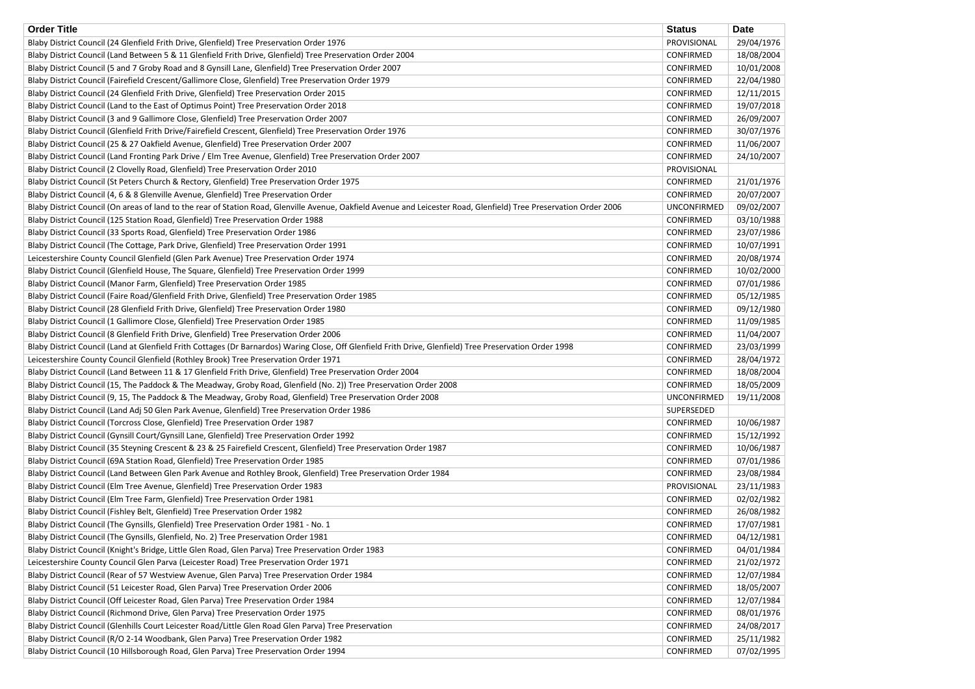| <b>Order Title</b>                                                                                                                                                  | <b>Status</b>      | <b>Date</b> |
|---------------------------------------------------------------------------------------------------------------------------------------------------------------------|--------------------|-------------|
| Blaby District Council (24 Glenfield Frith Drive, Glenfield) Tree Preservation Order 1976                                                                           | PROVISIONAL        | 29/04/1976  |
| Blaby District Council (Land Between 5 & 11 Glenfield Frith Drive, Glenfield) Tree Preservation Order 2004                                                          | <b>CONFIRMED</b>   | 18/08/2004  |
| Blaby District Council (5 and 7 Groby Road and 8 Gynsill Lane, Glenfield) Tree Preservation Order 2007                                                              | <b>CONFIRMED</b>   | 10/01/2008  |
| Blaby District Council (Fairefield Crescent/Gallimore Close, Glenfield) Tree Preservation Order 1979                                                                | <b>CONFIRMED</b>   | 22/04/1980  |
| Blaby District Council (24 Glenfield Frith Drive, Glenfield) Tree Preservation Order 2015                                                                           | <b>CONFIRMED</b>   | 12/11/2015  |
| Blaby District Council (Land to the East of Optimus Point) Tree Preservation Order 2018                                                                             | CONFIRMED          | 19/07/2018  |
| Blaby District Council (3 and 9 Gallimore Close, Glenfield) Tree Preservation Order 2007                                                                            | <b>CONFIRMED</b>   | 26/09/2007  |
| Blaby District Council (Glenfield Frith Drive/Fairefield Crescent, Glenfield) Tree Preservation Order 1976                                                          | <b>CONFIRMED</b>   | 30/07/1976  |
| Blaby District Council (25 & 27 Oakfield Avenue, Glenfield) Tree Preservation Order 2007                                                                            | <b>CONFIRMED</b>   | 11/06/2007  |
| Blaby District Council (Land Fronting Park Drive / Elm Tree Avenue, Glenfield) Tree Preservation Order 2007                                                         | <b>CONFIRMED</b>   | 24/10/2007  |
| Blaby District Council (2 Clovelly Road, Glenfield) Tree Preservation Order 2010                                                                                    | PROVISIONAL        |             |
| Blaby District Council (St Peters Church & Rectory, Glenfield) Tree Preservation Order 1975                                                                         | CONFIRMED          | 21/01/1976  |
| Blaby District Council (4, 6 & 8 Glenville Avenue, Glenfield) Tree Preservation Order                                                                               | CONFIRMED          | 20/07/2007  |
| Blaby District Council (On areas of land to the rear of Station Road, Glenville Avenue, Oakfield Avenue and Leicester Road, Glenfield) Tree Preservation Order 2006 | <b>UNCONFIRMED</b> | 09/02/2007  |
| Blaby District Council (125 Station Road, Glenfield) Tree Preservation Order 1988                                                                                   | CONFIRMED          | 03/10/1988  |
| Blaby District Council (33 Sports Road, Glenfield) Tree Preservation Order 1986                                                                                     | CONFIRMED          | 23/07/1986  |
| Blaby District Council (The Cottage, Park Drive, Glenfield) Tree Preservation Order 1991                                                                            | CONFIRMED          | 10/07/1991  |
| Leicestershire County Council Glenfield (Glen Park Avenue) Tree Preservation Order 1974                                                                             | <b>CONFIRMED</b>   | 20/08/1974  |
| Blaby District Council (Glenfield House, The Square, Glenfield) Tree Preservation Order 1999                                                                        | CONFIRMED          | 10/02/2000  |
| Blaby District Council (Manor Farm, Glenfield) Tree Preservation Order 1985                                                                                         | <b>CONFIRMED</b>   | 07/01/1986  |
| Blaby District Council (Faire Road/Glenfield Frith Drive, Glenfield) Tree Preservation Order 1985                                                                   | CONFIRMED          | 05/12/1985  |
| Blaby District Council (28 Glenfield Frith Drive, Glenfield) Tree Preservation Order 1980                                                                           | <b>CONFIRMED</b>   | 09/12/1980  |
| Blaby District Council (1 Gallimore Close, Glenfield) Tree Preservation Order 1985                                                                                  | CONFIRMED          | 11/09/1985  |
| Blaby District Council (8 Glenfield Frith Drive, Glenfield) Tree Preservation Order 2006                                                                            | CONFIRMED          | 11/04/2007  |
| Blaby District Council (Land at Glenfield Frith Cottages (Dr Barnardos) Waring Close, Off Glenfield Frith Drive, Glenfield) Tree Preservation Order 1998            | <b>CONFIRMED</b>   | 23/03/1999  |
| Leicestershire County Council Glenfield (Rothley Brook) Tree Preservation Order 1971                                                                                | CONFIRMED          | 28/04/1972  |
| Blaby District Council (Land Between 11 & 17 Glenfield Frith Drive, Glenfield) Tree Preservation Order 2004                                                         | <b>CONFIRMED</b>   | 18/08/2004  |
| Blaby District Council (15, The Paddock & The Meadway, Groby Road, Glenfield (No. 2)) Tree Preservation Order 2008                                                  | CONFIRMED          | 18/05/2009  |
| Blaby District Council (9, 15, The Paddock & The Meadway, Groby Road, Glenfield) Tree Preservation Order 2008                                                       | <b>UNCONFIRMED</b> | 19/11/2008  |
| Blaby District Council (Land Adj 50 Glen Park Avenue, Glenfield) Tree Preservation Order 1986                                                                       | SUPERSEDED         |             |
| Blaby District Council (Torcross Close, Glenfield) Tree Preservation Order 1987                                                                                     | CONFIRMED          | 10/06/1987  |
| Blaby District Council (Gynsill Court/Gynsill Lane, Glenfield) Tree Preservation Order 1992                                                                         | CONFIRMED          | 15/12/1992  |
| Blaby District Council (35 Steyning Crescent & 23 & 25 Fairefield Crescent, Glenfield) Tree Preservation Order 1987                                                 | CONFIRMED          | 10/06/1987  |
| Blaby District Council (69A Station Road, Glenfield) Tree Preservation Order 1985                                                                                   | <b>CONFIRMED</b>   | 07/01/1986  |
| Blaby District Council (Land Between Glen Park Avenue and Rothley Brook, Glenfield) Tree Preservation Order 1984                                                    | CONFIRMED          | 23/08/1984  |
|                                                                                                                                                                     |                    |             |
| Blaby District Council (Elm Tree Avenue, Glenfield) Tree Preservation Order 1983                                                                                    | PROVISIONAL        | 23/11/1983  |
| Blaby District Council (Elm Tree Farm, Glenfield) Tree Preservation Order 1981                                                                                      | CONFIRMED          | 02/02/1982  |
| Blaby District Council (Fishley Belt, Glenfield) Tree Preservation Order 1982                                                                                       | CONFIRMED          | 26/08/1982  |
| Blaby District Council (The Gynsills, Glenfield) Tree Preservation Order 1981 - No. 1                                                                               | CONFIRMED          | 17/07/1981  |
| Blaby District Council (The Gynsills, Glenfield, No. 2) Tree Preservation Order 1981                                                                                | CONFIRMED          | 04/12/1981  |
| Blaby District Council (Knight's Bridge, Little Glen Road, Glen Parva) Tree Preservation Order 1983                                                                 | <b>CONFIRMED</b>   | 04/01/1984  |
| Leicestershire County Council Glen Parva (Leicester Road) Tree Preservation Order 1971                                                                              | CONFIRMED          | 21/02/1972  |
| Blaby District Council (Rear of 57 Westview Avenue, Glen Parva) Tree Preservation Order 1984                                                                        | CONFIRMED          | 12/07/1984  |
| Blaby District Council (51 Leicester Road, Glen Parva) Tree Preservation Order 2006                                                                                 | CONFIRMED          | 18/05/2007  |
| Blaby District Council (Off Leicester Road, Glen Parva) Tree Preservation Order 1984                                                                                | CONFIRMED          | 12/07/1984  |
| Blaby District Council (Richmond Drive, Glen Parva) Tree Preservation Order 1975                                                                                    | CONFIRMED          | 08/01/1976  |
| Blaby District Council (Glenhills Court Leicester Road/Little Glen Road Glen Parva) Tree Preservation                                                               | CONFIRMED          | 24/08/2017  |
| Blaby District Council (R/O 2-14 Woodbank, Glen Parva) Tree Preservation Order 1982                                                                                 | <b>CONFIRMED</b>   | 25/11/1982  |
| Blaby District Council (10 Hillsborough Road, Glen Parva) Tree Preservation Order 1994                                                                              | <b>CONFIRMED</b>   | 07/02/1995  |

| <b>Date</b>              |
|--------------------------|
| 29/04/1976               |
| 18/08/2004               |
| 10/01/2008               |
| 22/04/1980               |
| 12/11/2015               |
| 19/07/2018               |
| 26/09/2007               |
| 30/07/1976               |
| 11/06/2007               |
| 24/10/2007               |
|                          |
| 21/01/1976               |
| 20/07/2007               |
| 09/02/2007               |
| 03/10/1988               |
| 23/07/1986               |
| 10/07/1991               |
|                          |
| 20/08/1974               |
| 10/02/2000               |
| 07/01/1986               |
| 05/12/1985               |
| 09/12/1980               |
| 11/09/1985               |
| 11/04/2007               |
| 23/03/1999               |
| 28/04/1972               |
| 18/08/2004               |
| 18/05/200 <mark>9</mark> |
| 19/11/2008               |
|                          |
| 10/06/1987               |
| 15/12/1992               |
| 10/06/1987               |
| 07/01/1986               |
| 23/08/1984               |
| 23/11/1983               |
| 02/02/1982               |
| 26/08/1982               |
| 17/07/1981               |
| 04/12/1981               |
| 04/01/1984               |
| 21/02/1972               |
| 12/07/1984               |
| 18/05/2007               |
| 12/07/1984               |
| 08/01/1976               |
| 24/08/2017               |
| 25/11/1982               |
| 07/02/1995               |
|                          |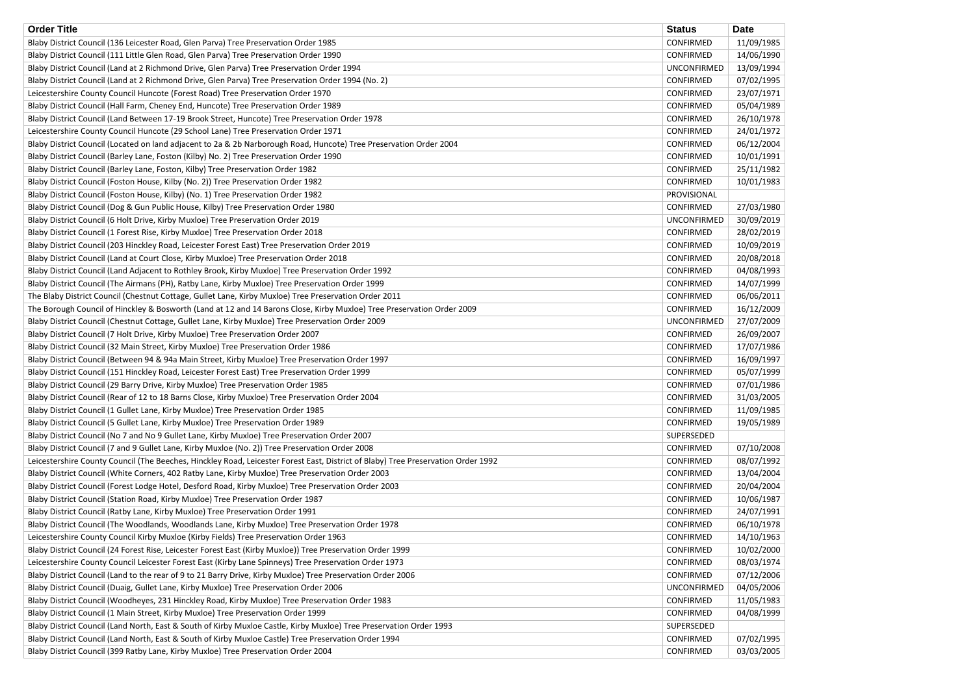| <b>Order Title</b>                                                                                                                | <b>Status</b>      | <b>Date</b> |
|-----------------------------------------------------------------------------------------------------------------------------------|--------------------|-------------|
| Blaby District Council (136 Leicester Road, Glen Parva) Tree Preservation Order 1985                                              | CONFIRMED          | 11/09/1985  |
| Blaby District Council (111 Little Glen Road, Glen Parva) Tree Preservation Order 1990                                            | CONFIRMED          | 14/06/1990  |
| Blaby District Council (Land at 2 Richmond Drive, Glen Parva) Tree Preservation Order 1994                                        | <b>UNCONFIRMED</b> | 13/09/1994  |
| Blaby District Council (Land at 2 Richmond Drive, Glen Parva) Tree Preservation Order 1994 (No. 2)                                | CONFIRMED          | 07/02/1995  |
| Leicestershire County Council Huncote (Forest Road) Tree Preservation Order 1970                                                  | CONFIRMED          | 23/07/1971  |
| Blaby District Council (Hall Farm, Cheney End, Huncote) Tree Preservation Order 1989                                              | <b>CONFIRMED</b>   | 05/04/1989  |
| Blaby District Council (Land Between 17-19 Brook Street, Huncote) Tree Preservation Order 1978                                    | CONFIRMED          | 26/10/1978  |
| Leicestershire County Council Huncote (29 School Lane) Tree Preservation Order 1971                                               | CONFIRMED          | 24/01/1972  |
| Blaby District Council (Located on land adjacent to 2a & 2b Narborough Road, Huncote) Tree Preservation Order 2004                | <b>CONFIRMED</b>   | 06/12/2004  |
| Blaby District Council (Barley Lane, Foston (Kilby) No. 2) Tree Preservation Order 1990                                           | CONFIRMED          | 10/01/1991  |
| Blaby District Council (Barley Lane, Foston, Kilby) Tree Preservation Order 1982                                                  | <b>CONFIRMED</b>   | 25/11/1982  |
| Blaby District Council (Foston House, Kilby (No. 2)) Tree Preservation Order 1982                                                 | <b>CONFIRMED</b>   | 10/01/1983  |
| Blaby District Council (Foston House, Kilby) (No. 1) Tree Preservation Order 1982                                                 | PROVISIONAL        |             |
| Blaby District Council (Dog & Gun Public House, Kilby) Tree Preservation Order 1980                                               | CONFIRMED          | 27/03/1980  |
| Blaby District Council (6 Holt Drive, Kirby Muxloe) Tree Preservation Order 2019                                                  | <b>UNCONFIRMED</b> | 30/09/2019  |
| Blaby District Council (1 Forest Rise, Kirby Muxloe) Tree Preservation Order 2018                                                 | CONFIRMED          | 28/02/2019  |
| Blaby District Council (203 Hinckley Road, Leicester Forest East) Tree Preservation Order 2019                                    | CONFIRMED          | 10/09/2019  |
| Blaby District Council (Land at Court Close, Kirby Muxloe) Tree Preservation Order 2018                                           | CONFIRMED          | 20/08/2018  |
| Blaby District Council (Land Adjacent to Rothley Brook, Kirby Muxloe) Tree Preservation Order 1992                                | CONFIRMED          | 04/08/1993  |
| Blaby District Council (The Airmans (PH), Ratby Lane, Kirby Muxloe) Tree Preservation Order 1999                                  | CONFIRMED          | 14/07/1999  |
| The Blaby District Council (Chestnut Cottage, Gullet Lane, Kirby Muxloe) Tree Preservation Order 2011                             | CONFIRMED          | 06/06/2011  |
| The Borough Council of Hinckley & Bosworth (Land at 12 and 14 Barons Close, Kirby Muxloe) Tree Preservation Order 2009            | <b>CONFIRMED</b>   | 16/12/2009  |
| Blaby District Council (Chestnut Cottage, Gullet Lane, Kirby Muxloe) Tree Preservation Order 2009                                 | <b>UNCONFIRMED</b> | 27/07/2009  |
| Blaby District Council (7 Holt Drive, Kirby Muxloe) Tree Preservation Order 2007                                                  | CONFIRMED          | 26/09/2007  |
| Blaby District Council (32 Main Street, Kirby Muxloe) Tree Preservation Order 1986                                                | CONFIRMED          | 17/07/1986  |
| Blaby District Council (Between 94 & 94a Main Street, Kirby Muxloe) Tree Preservation Order 1997                                  | <b>CONFIRMED</b>   | 16/09/1997  |
| Blaby District Council (151 Hinckley Road, Leicester Forest East) Tree Preservation Order 1999                                    | <b>CONFIRMED</b>   | 05/07/1999  |
| Blaby District Council (29 Barry Drive, Kirby Muxloe) Tree Preservation Order 1985                                                | <b>CONFIRMED</b>   | 07/01/1986  |
| Blaby District Council (Rear of 12 to 18 Barns Close, Kirby Muxloe) Tree Preservation Order 2004                                  | <b>CONFIRMED</b>   | 31/03/2005  |
| Blaby District Council (1 Gullet Lane, Kirby Muxloe) Tree Preservation Order 1985                                                 | <b>CONFIRMED</b>   | 11/09/1985  |
| Blaby District Council (5 Gullet Lane, Kirby Muxloe) Tree Preservation Order 1989                                                 | CONFIRMED          | 19/05/1989  |
| Blaby District Council (No 7 and No 9 Gullet Lane, Kirby Muxloe) Tree Preservation Order 2007                                     | SUPERSEDED         |             |
| Blaby District Council (7 and 9 Gullet Lane, Kirby Muxloe (No. 2)) Tree Preservation Order 2008                                   | CONFIRMED          | 07/10/2008  |
| Leicestershire County Council (The Beeches, Hinckley Road, Leicester Forest East, District of Blaby) Tree Preservation Order 1992 | CONFIRMED          | 08/07/1992  |
| Blaby District Council (White Corners, 402 Ratby Lane, Kirby Muxloe) Tree Preservation Order 2003                                 | CONFIRMED          | 13/04/2004  |
| Blaby District Council (Forest Lodge Hotel, Desford Road, Kirby Muxloe) Tree Preservation Order 2003                              | CONFIRMED          | 20/04/2004  |
| Blaby District Council (Station Road, Kirby Muxloe) Tree Preservation Order 1987                                                  | CONFIRMED          | 10/06/1987  |
| Blaby District Council (Ratby Lane, Kirby Muxloe) Tree Preservation Order 1991                                                    | <b>CONFIRMED</b>   | 24/07/1991  |
| Blaby District Council (The Woodlands, Woodlands Lane, Kirby Muxloe) Tree Preservation Order 1978                                 | <b>CONFIRMED</b>   | 06/10/1978  |
| Leicestershire County Council Kirby Muxloe (Kirby Fields) Tree Preservation Order 1963                                            | CONFIRMED          | 14/10/1963  |
| Blaby District Council (24 Forest Rise, Leicester Forest East (Kirby Muxloe)) Tree Preservation Order 1999                        | <b>CONFIRMED</b>   | 10/02/2000  |
| Leicestershire County Council Leicester Forest East (Kirby Lane Spinneys) Tree Preservation Order 1973                            | CONFIRMED          | 08/03/1974  |
| Blaby District Council (Land to the rear of 9 to 21 Barry Drive, Kirby Muxloe) Tree Preservation Order 2006                       | CONFIRMED          | 07/12/2006  |
| Blaby District Council (Duaig, Gullet Lane, Kirby Muxloe) Tree Preservation Order 2006                                            | <b>UNCONFIRMED</b> | 04/05/2006  |
| Blaby District Council (Woodheyes, 231 Hinckley Road, Kirby Muxloe) Tree Preservation Order 1983                                  | <b>CONFIRMED</b>   | 11/05/1983  |
| Blaby District Council (1 Main Street, Kirby Muxloe) Tree Preservation Order 1999                                                 | CONFIRMED          | 04/08/1999  |
| Blaby District Council (Land North, East & South of Kirby Muxloe Castle, Kirby Muxloe) Tree Preservation Order 1993               | SUPERSEDED         |             |
| Blaby District Council (Land North, East & South of Kirby Muxloe Castle) Tree Preservation Order 1994                             | CONFIRMED          | 07/02/1995  |
| Blaby District Council (399 Ratby Lane, Kirby Muxloe) Tree Preservation Order 2004                                                | CONFIRMED          | 03/03/2005  |
|                                                                                                                                   |                    |             |

| <b>Date</b> |
|-------------|
| 11/09/1985  |
| 14/06/1990  |
| 13/09/1994  |
| 07/02/1995  |
| 23/07/1971  |
| 05/04/1989  |
| 26/10/1978  |
| 24/01/1972  |
| 06/12/2004  |
| 10/01/1991  |
| 25/11/1982  |
| 10/01/1983  |
|             |
|             |
| 27/03/1980  |
| 30/09/2019  |
| 28/02/2019  |
| 10/09/2019  |
| 20/08/2018  |
| 04/08/1993  |
| 14/07/1999  |
| 06/06/2011  |
| 16/12/2009  |
| 27/07/2009  |
| 26/09/2007  |
| 17/07/1986  |
| 16/09/1997  |
| 05/07/1999  |
| 07/01/1986  |
| 31/03/2005  |
| 11/09/1985  |
| 19/05/1989  |
|             |
| 07/10/2008  |
| 08/07/1992  |
| 13/04/2004  |
| 20/04/2004  |
| 10/06/1987  |
| 24/07/1991  |
| 06/10/1978  |
| 14/10/1963  |
|             |
| 10/02/2000  |
| 08/03/1974  |
| 07/12/2006  |
| 04/05/2006  |
| 11/05/1983  |
| 04/08/1999  |
|             |
| 07/02/1995  |
| 03/03/2005  |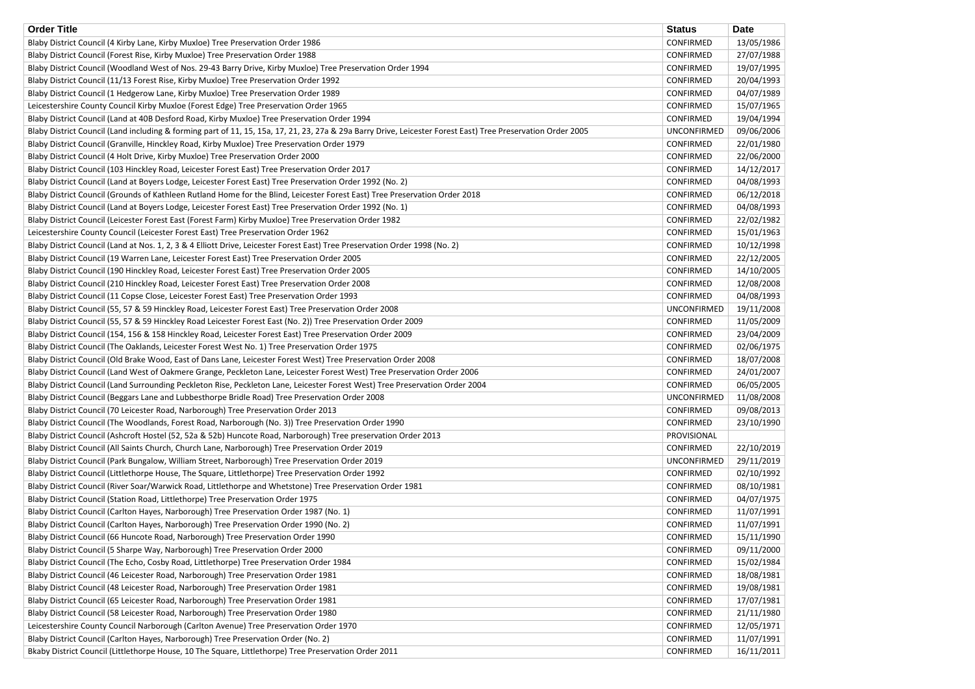| <b>Order Title</b>                                                                                                                                           | <b>Status</b>      | <b>Date</b> |
|--------------------------------------------------------------------------------------------------------------------------------------------------------------|--------------------|-------------|
| Blaby District Council (4 Kirby Lane, Kirby Muxloe) Tree Preservation Order 1986                                                                             | <b>CONFIRMED</b>   | 13/05/1986  |
| Blaby District Council (Forest Rise, Kirby Muxloe) Tree Preservation Order 1988                                                                              | <b>CONFIRMED</b>   | 27/07/1988  |
| Blaby District Council (Woodland West of Nos. 29-43 Barry Drive, Kirby Muxloe) Tree Preservation Order 1994                                                  | CONFIRMED          | 19/07/1995  |
| Blaby District Council (11/13 Forest Rise, Kirby Muxloe) Tree Preservation Order 1992                                                                        | <b>CONFIRMED</b>   | 20/04/1993  |
| Blaby District Council (1 Hedgerow Lane, Kirby Muxloe) Tree Preservation Order 1989                                                                          | <b>CONFIRMED</b>   | 04/07/1989  |
| Leicestershire County Council Kirby Muxloe (Forest Edge) Tree Preservation Order 1965                                                                        | <b>CONFIRMED</b>   | 15/07/1965  |
| Blaby District Council (Land at 40B Desford Road, Kirby Muxloe) Tree Preservation Order 1994                                                                 | CONFIRMED          | 19/04/1994  |
| Blaby District Council (Land including & forming part of 11, 15, 15a, 17, 21, 23, 27a & 29a Barry Drive, Leicester Forest East) Tree Preservation Order 2005 | <b>UNCONFIRMED</b> | 09/06/2006  |
| Blaby District Council (Granville, Hinckley Road, Kirby Muxloe) Tree Preservation Order 1979                                                                 | CONFIRMED          | 22/01/1980  |
| Blaby District Council (4 Holt Drive, Kirby Muxloe) Tree Preservation Order 2000                                                                             | CONFIRMED          | 22/06/2000  |
| Blaby District Council (103 Hinckley Road, Leicester Forest East) Tree Preservation Order 2017                                                               | CONFIRMED          | 14/12/2017  |
| Blaby District Council (Land at Boyers Lodge, Leicester Forest East) Tree Preservation Order 1992 (No. 2)                                                    | CONFIRMED          | 04/08/1993  |
| Blaby District Council (Grounds of Kathleen Rutland Home for the Blind, Leicester Forest East) Tree Preservation Order 2018                                  | CONFIRMED          | 06/12/2018  |
| Blaby District Council (Land at Boyers Lodge, Leicester Forest East) Tree Preservation Order 1992 (No. 1)                                                    | CONFIRMED          | 04/08/1993  |
| Blaby District Council (Leicester Forest East (Forest Farm) Kirby Muxloe) Tree Preservation Order 1982                                                       | <b>CONFIRMED</b>   | 22/02/1982  |
| Leicestershire County Council (Leicester Forest East) Tree Preservation Order 1962                                                                           | CONFIRMED          | 15/01/1963  |
| Blaby District Council (Land at Nos. 1, 2, 3 & 4 Elliott Drive, Leicester Forest East) Tree Preservation Order 1998 (No. 2)                                  | <b>CONFIRMED</b>   | 10/12/1998  |
| Blaby District Council (19 Warren Lane, Leicester Forest East) Tree Preservation Order 2005                                                                  | CONFIRMED          | 22/12/2005  |
| Blaby District Council (190 Hinckley Road, Leicester Forest East) Tree Preservation Order 2005                                                               | <b>CONFIRMED</b>   | 14/10/2005  |
| Blaby District Council (210 Hinckley Road, Leicester Forest East) Tree Preservation Order 2008                                                               | <b>CONFIRMED</b>   | 12/08/2008  |
| Blaby District Council (11 Copse Close, Leicester Forest East) Tree Preservation Order 1993                                                                  | CONFIRMED          | 04/08/1993  |
| Blaby District Council (55, 57 & 59 Hinckley Road, Leicester Forest East) Tree Preservation Order 2008                                                       | <b>UNCONFIRMED</b> | 19/11/2008  |
| Blaby District Council (55, 57 & 59 Hinckley Road Leicester Forest East (No. 2)) Tree Preservation Order 2009                                                | CONFIRMED          | 11/05/2009  |
| Blaby District Council (154, 156 & 158 Hinckley Road, Leicester Forest East) Tree Preservation Order 2009                                                    | CONFIRMED          | 23/04/2009  |
| Blaby District Council (The Oaklands, Leicester Forest West No. 1) Tree Preservation Order 1975                                                              | CONFIRMED          | 02/06/1975  |
| Blaby District Council (Old Brake Wood, East of Dans Lane, Leicester Forest West) Tree Preservation Order 2008                                               | <b>CONFIRMED</b>   | 18/07/2008  |
| Blaby District Council (Land West of Oakmere Grange, Peckleton Lane, Leicester Forest West) Tree Preservation Order 2006                                     | <b>CONFIRMED</b>   | 24/01/2007  |
| Blaby District Council (Land Surrounding Peckleton Rise, Peckleton Lane, Leicester Forest West) Tree Preservation Order 2004                                 | <b>CONFIRMED</b>   | 06/05/2005  |
| Blaby District Council (Beggars Lane and Lubbesthorpe Bridle Road) Tree Preservation Order 2008                                                              | <b>UNCONFIRMED</b> | 11/08/2008  |
| Blaby District Council (70 Leicester Road, Narborough) Tree Preservation Order 2013                                                                          | CONFIRMED          | 09/08/2013  |
| Blaby District Council (The Woodlands, Forest Road, Narborough (No. 3)) Tree Preservation Order 1990                                                         | <b>CONFIRMED</b>   | 23/10/1990  |
| Blaby District Council (Ashcroft Hostel (52, 52a & 52b) Huncote Road, Narborough) Tree preservation Order 2013                                               | PROVISIONAL        |             |
| Blaby District Council (All Saints Church, Church Lane, Narborough) Tree Preservation Order 2019                                                             | CONFIRMED          | 22/10/2019  |
| Blaby District Council (Park Bungalow, William Street, Narborough) Tree Preservation Order 2019                                                              | <b>UNCONFIRMED</b> | 29/11/2019  |
| Blaby District Council (Littlethorpe House, The Square, Littlethorpe) Tree Preservation Order 1992                                                           | CONFIRMED          | 02/10/1992  |
| Blaby District Council (River Soar/Warwick Road, Littlethorpe and Whetstone) Tree Preservation Order 1981                                                    | CONFIRMED          | 08/10/1981  |
| Blaby District Council (Station Road, Littlethorpe) Tree Preservation Order 1975                                                                             | <b>CONFIRMED</b>   | 04/07/1975  |
| Blaby District Council (Carlton Hayes, Narborough) Tree Preservation Order 1987 (No. 1)                                                                      | CONFIRMED          | 11/07/1991  |
| Blaby District Council (Carlton Hayes, Narborough) Tree Preservation Order 1990 (No. 2)                                                                      | CONFIRMED          | 11/07/1991  |
| Blaby District Council (66 Huncote Road, Narborough) Tree Preservation Order 1990                                                                            | CONFIRMED          | 15/11/1990  |
| Blaby District Council (5 Sharpe Way, Narborough) Tree Preservation Order 2000                                                                               | <b>CONFIRMED</b>   | 09/11/2000  |
| Blaby District Council (The Echo, Cosby Road, Littlethorpe) Tree Preservation Order 1984                                                                     | CONFIRMED          | 15/02/1984  |
| Blaby District Council (46 Leicester Road, Narborough) Tree Preservation Order 1981                                                                          | CONFIRMED          | 18/08/1981  |
| Blaby District Council (48 Leicester Road, Narborough) Tree Preservation Order 1981                                                                          | CONFIRMED          | 19/08/1981  |
| Blaby District Council (65 Leicester Road, Narborough) Tree Preservation Order 1981                                                                          | CONFIRMED          | 17/07/1981  |
| Blaby District Council (58 Leicester Road, Narborough) Tree Preservation Order 1980                                                                          | <b>CONFIRMED</b>   | 21/11/1980  |
| Leicestershire County Council Narborough (Carlton Avenue) Tree Preservation Order 1970                                                                       | CONFIRMED          | 12/05/1971  |
| Blaby District Council (Carlton Hayes, Narborough) Tree Preservation Order (No. 2)                                                                           | <b>CONFIRMED</b>   | 11/07/1991  |
| Bkaby District Council (Littlethorpe House, 10 The Square, Littlethorpe) Tree Preservation Order 2011                                                        | CONFIRMED          | 16/11/2011  |
|                                                                                                                                                              |                    |             |

| 13/05/198              |
|------------------------|
| 27/07/198              |
| 19/07/199!             |
| 20/04/1993             |
| 04/07/198              |
| 15/07/196              |
| 19/04/199              |
| 09/06/200              |
| 22/01/1980             |
| 22/06/200              |
| 14/12/2011             |
| 04/08/1993             |
| 06/12/2018             |
| 04/08/199              |
| 22/02/198              |
| 15/01/196              |
| 10/12/1998             |
| 22/12/200!             |
| 14/10/200!             |
| 12/08/2008             |
| 04/08/199              |
| 19/11/2008             |
| 11/05/2009             |
| 23/04/2009             |
| 02/06/197!             |
| 18/07/2008             |
| 24/01/200 <sup>-</sup> |
| 06/05/200!             |
| 11/08/2008             |
| 09/08/201              |
| 23/10/1990             |
|                        |
| 22/10/2019             |
| 29/11/2019             |
| 02/10/1992             |
| 08/10/198              |
| 04/07/197              |
| 11/07/1991             |
| 11/07/1991             |
| 15/11/1990             |
| 09/11/200              |
| 15/02/1984             |
| 18/08/198              |
| 19/08/198              |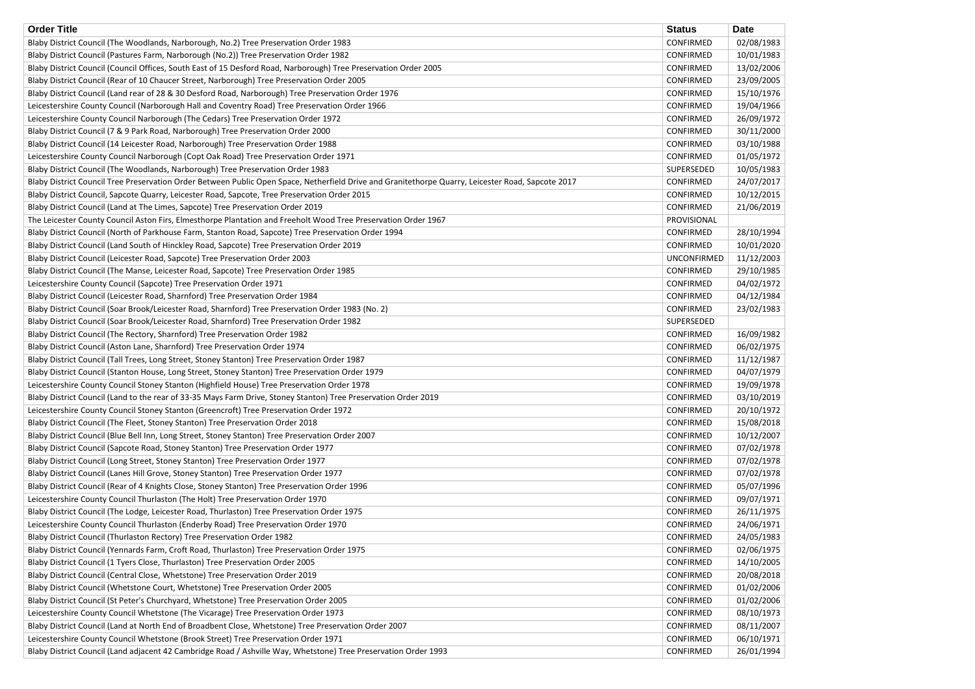| <b>Order Title</b>                                                                                                                                                            | <b>Status</b>      | <b>Date</b> |
|-------------------------------------------------------------------------------------------------------------------------------------------------------------------------------|--------------------|-------------|
| Blaby District Council (The Woodlands, Narborough, No.2) Tree Preservation Order 1983                                                                                         | <b>CONFIRMED</b>   | 02/08/1983  |
| Blaby District Council (Pastures Farm, Narborough (No.2)) Tree Preservation Order 1982                                                                                        | <b>CONFIRMED</b>   | 10/01/1983  |
| Blaby District Council (Council Offices, South East of 15 Desford Road, Narborough) Tree Preservation Order 2005                                                              | <b>CONFIRMED</b>   | 13/02/2006  |
| Blaby District Council (Rear of 10 Chaucer Street, Narborough) Tree Preservation Order 2005                                                                                   | CONFIRMED          | 23/09/2005  |
| Blaby District Council (Land rear of 28 & 30 Desford Road, Narborough) Tree Preservation Order 1976                                                                           | <b>CONFIRMED</b>   | 15/10/1976  |
| Leicestershire County Council (Narborough Hall and Coventry Road) Tree Preservation Order 1966                                                                                | <b>CONFIRMED</b>   | 19/04/1966  |
| Leicestershire County Council Narborough (The Cedars) Tree Preservation Order 1972                                                                                            | CONFIRMED          | 26/09/1972  |
| Blaby District Council (7 & 9 Park Road, Narborough) Tree Preservation Order 2000                                                                                             | <b>CONFIRMED</b>   | 30/11/2000  |
| Blaby District Council (14 Leicester Road, Narborough) Tree Preservation Order 1988                                                                                           | CONFIRMED          | 03/10/1988  |
| Leicestershire County Council Narborough (Copt Oak Road) Tree Preservation Order 1971                                                                                         | CONFIRMED          | 01/05/1972  |
| Blaby District Council (The Woodlands, Narborough) Tree Preservation Order 1983                                                                                               | SUPERSEDED         | 10/05/1983  |
| Blaby District Council Tree Preservation Order Between Public Open Space, Netherfield Drive and Granitethorpe Quarry, Leicester Road, Sapcote 2017                            | <b>CONFIRMED</b>   | 24/07/2017  |
| Blaby District Council, Sapcote Quarry, Leicester Road, Sapcote, Tree Preservation Order 2015                                                                                 | CONFIRMED          | 10/12/2015  |
| Blaby District Council (Land at The Limes, Sapcote) Tree Preservation Order 2019                                                                                              | CONFIRMED          | 21/06/2019  |
| The Leicester County Council Aston Firs, Elmesthorpe Plantation and Freeholt Wood Tree Preservation Order 1967                                                                | PROVISIONAL        |             |
| Blaby District Council (North of Parkhouse Farm, Stanton Road, Sapcote) Tree Preservation Order 1994                                                                          | CONFIRMED          | 28/10/1994  |
| Blaby District Council (Land South of Hinckley Road, Sapcote) Tree Preservation Order 2019                                                                                    | CONFIRMED          | 10/01/2020  |
| Blaby District Council (Leicester Road, Sapcote) Tree Preservation Order 2003                                                                                                 | <b>UNCONFIRMED</b> | 11/12/2003  |
| Blaby District Council (The Manse, Leicester Road, Sapcote) Tree Preservation Order 1985                                                                                      | CONFIRMED          | 29/10/1985  |
| Leicestershire County Council (Sapcote) Tree Preservation Order 1971                                                                                                          | CONFIRMED          | 04/02/1972  |
| Blaby District Council (Leicester Road, Sharnford) Tree Preservation Order 1984                                                                                               | CONFIRMED          | 04/12/1984  |
| Blaby District Council (Soar Brook/Leicester Road, Sharnford) Tree Preservation Order 1983 (No. 2)                                                                            | <b>CONFIRMED</b>   | 23/02/1983  |
| Blaby District Council (Soar Brook/Leicester Road, Sharnford) Tree Preservation Order 1982                                                                                    | SUPERSEDED         |             |
| Blaby District Council (The Rectory, Sharnford) Tree Preservation Order 1982                                                                                                  | CONFIRMED          | 16/09/1982  |
| Blaby District Council (Aston Lane, Sharnford) Tree Preservation Order 1974                                                                                                   | CONFIRMED          | 06/02/1975  |
| Blaby District Council (Tall Trees, Long Street, Stoney Stanton) Tree Preservation Order 1987                                                                                 | <b>CONFIRMED</b>   | 11/12/1987  |
| Blaby District Council (Stanton House, Long Street, Stoney Stanton) Tree Preservation Order 1979                                                                              | CONFIRMED          | 04/07/1979  |
| Leicestershire County Council Stoney Stanton (Highfield House) Tree Preservation Order 1978                                                                                   | CONFIRMED          | 19/09/1978  |
| Blaby District Council (Land to the rear of 33-35 Mays Farm Drive, Stoney Stanton) Tree Preservation Order 2019                                                               | <b>CONFIRMED</b>   | 03/10/2019  |
| Leicestershire County Council Stoney Stanton (Greencroft) Tree Preservation Order 1972                                                                                        | CONFIRMED          | 20/10/1972  |
| Blaby District Council (The Fleet, Stoney Stanton) Tree Preservation Order 2018                                                                                               | <b>CONFIRMED</b>   | 15/08/2018  |
| Blaby District Council (Blue Bell Inn, Long Street, Stoney Stanton) Tree Preservation Order 2007                                                                              | CONFIRMED          | 10/12/2007  |
| Blaby District Council (Sapcote Road, Stoney Stanton) Tree Preservation Order 1977                                                                                            | <b>CONFIRMED</b>   | 07/02/1978  |
| Blaby District Council (Long Street, Stoney Stanton) Tree Preservation Order 1977                                                                                             | CONFIRMED          | 07/02/1978  |
| Blaby District Council (Lanes Hill Grove, Stoney Stanton) Tree Preservation Order 1977                                                                                        | CONFIRMED          | 07/02/1978  |
| Blaby District Council (Rear of 4 Knights Close, Stoney Stanton) Tree Preservation Order 1996                                                                                 | CONFIRMED          | 05/07/1996  |
| Leicestershire County Council Thurlaston (The Holt) Tree Preservation Order 1970                                                                                              | CONFIRMED          | 09/07/1971  |
| Blaby District Council (The Lodge, Leicester Road, Thurlaston) Tree Preservation Order 1975                                                                                   | <b>CONFIRMED</b>   | 26/11/1975  |
| Leicestershire County Council Thurlaston (Enderby Road) Tree Preservation Order 1970                                                                                          | CONFIRMED          | 24/06/1971  |
| Blaby District Council (Thurlaston Rectory) Tree Preservation Order 1982                                                                                                      | CONFIRMED          | 24/05/1983  |
| Blaby District Council (Yennards Farm, Croft Road, Thurlaston) Tree Preservation Order 1975                                                                                   | <b>CONFIRMED</b>   | 02/06/1975  |
| Blaby District Council (1 Tyers Close, Thurlaston) Tree Preservation Order 2005                                                                                               | CONFIRMED          | 14/10/2005  |
| Blaby District Council (Central Close, Whetstone) Tree Preservation Order 2019                                                                                                | CONFIRMED          | 20/08/2018  |
| Blaby District Council (Whetstone Court, Whetstone) Tree Preservation Order 2005                                                                                              | CONFIRMED          | 01/02/2006  |
|                                                                                                                                                                               | CONFIRMED          | 01/02/2006  |
| Blaby District Council (St Peter's Churchyard, Whetstone) Tree Preservation Order 2005<br>Leicestershire County Council Whetstone (The Vicarage) Tree Preservation Order 1973 | CONFIRMED          | 08/10/1973  |
|                                                                                                                                                                               | CONFIRMED          |             |
| Blaby District Council (Land at North End of Broadbent Close, Whetstone) Tree Preservation Order 2007                                                                         |                    | 08/11/2007  |
| Leicestershire County Council Whetstone (Brook Street) Tree Preservation Order 1971                                                                                           | CONFIRMED          | 06/10/1971  |
| Blaby District Council (Land adjacent 42 Cambridge Road / Ashville Way, Whetstone) Tree Preservation Order 1993                                                               | CONFIRMED          | 26/01/1994  |

| <b>Date</b> |
|-------------|
| 02/08/1983  |
| 10/01/1983  |
| 13/02/2006  |
| 23/09/2005  |
| 15/10/1976  |
| 19/04/1966  |
| 26/09/1972  |
| 30/11/2000  |
| 03/10/1988  |
| 01/05/1972  |
| 10/05/1983  |
| 24/07/2017  |
|             |
| 10/12/2015  |
| 21/06/2019  |
|             |
| 28/10/1994  |
| 10/01/2020  |
| 11/12/2003  |
| 29/10/1985  |
| 04/02/1972  |
| 04/12/1984  |
| 23/02/1983  |
|             |
| 16/09/1982  |
| 06/02/1975  |
| 11/12/1987  |
| 04/07/1979  |
| 19/09/1978  |
| 03/10/2019  |
| 20/10/1972  |
| 15/08/2018  |
| 10/12/2007  |
| 07/02/1978  |
| 07/02/1978  |
| 07/02/1978  |
|             |
| 05/07/1996  |
| 09/07/1971  |
| 26/11/1975  |
| 24/06/1971  |
| 24/05/1983  |
| 02/06/1975  |
| 14/10/2005  |
| 20/08/2018  |
| 01/02/2006  |
| 01/02/2006  |
| 08/10/1973  |
| 08/11/2007  |
| 06/10/1971  |
| 26/01/1994  |